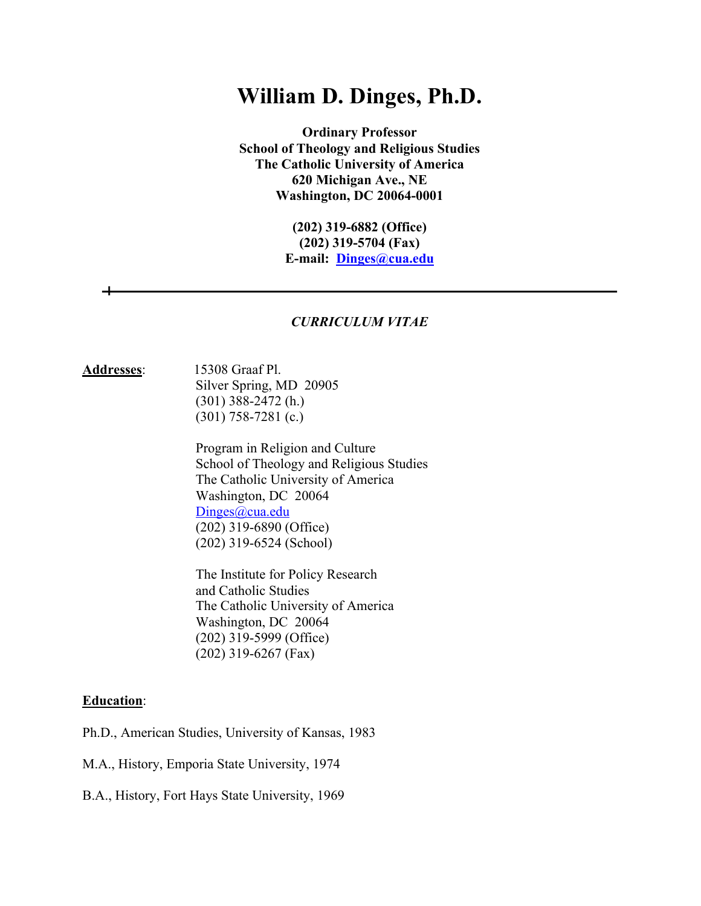# **William D. Dinges, Ph.D.**

**Ordinary Professor School of Theology and Religious Studies The Catholic University of America 620 Michigan Ave., NE Washington, DC 20064-0001**

> **(202) 319-6882 (Office) (202) 319-5704 (Fax) E-mail: Dinges@cua.edu**

#### *CURRICULUM VITAE*

#### **Addresses**: 15308 Graaf Pl. Silver Spring, MD 20905 (301) 388-2472 (h.) (301) 758-7281 (c.)

 Program in Religion and Culture School of Theology and Religious Studies The Catholic University of America Washington, DC 20064 Dinges@cua.edu (202) 319-6890 (Office) (202) 319-6524 (School)

 The Institute for Policy Research and Catholic Studies The Catholic University of America Washington, DC 20064 (202) 319-5999 (Office) (202) 319-6267 (Fax)

#### **Education**:

Ph.D., American Studies, University of Kansas, 1983

M.A., History, Emporia State University, 1974

B.A., History, Fort Hays State University, 1969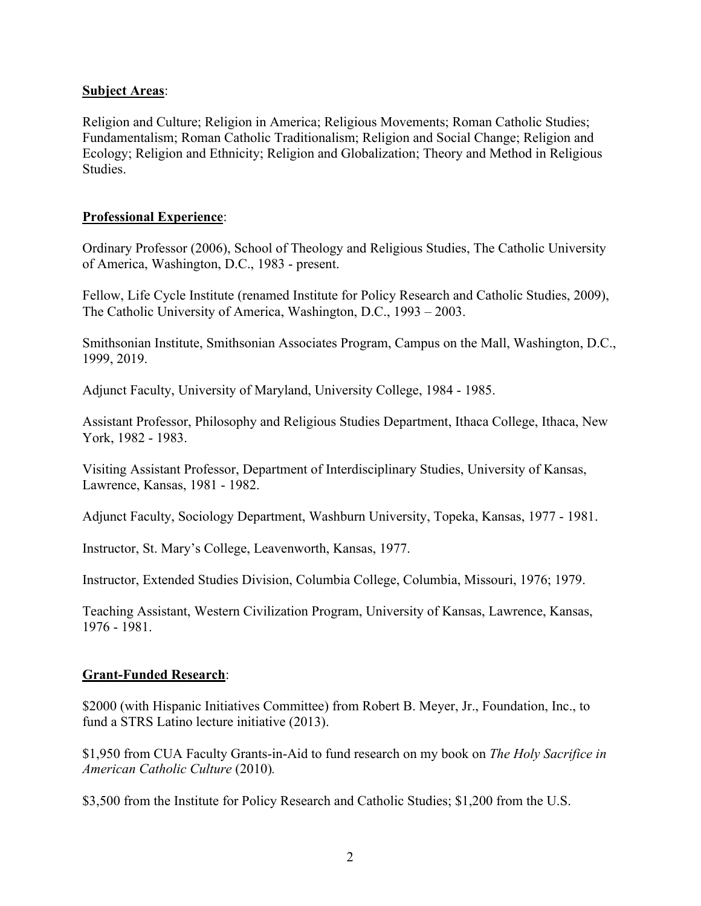# **Subject Areas**:

Religion and Culture; Religion in America; Religious Movements; Roman Catholic Studies; Fundamentalism; Roman Catholic Traditionalism; Religion and Social Change; Religion and Ecology; Religion and Ethnicity; Religion and Globalization; Theory and Method in Religious Studies.

# **Professional Experience**:

Ordinary Professor (2006), School of Theology and Religious Studies, The Catholic University of America, Washington, D.C., 1983 - present.

Fellow, Life Cycle Institute (renamed Institute for Policy Research and Catholic Studies, 2009), The Catholic University of America, Washington, D.C., 1993 – 2003.

Smithsonian Institute, Smithsonian Associates Program, Campus on the Mall, Washington, D.C., 1999, 2019.

Adjunct Faculty, University of Maryland, University College, 1984 - 1985.

Assistant Professor, Philosophy and Religious Studies Department, Ithaca College, Ithaca, New York, 1982 - 1983.

Visiting Assistant Professor, Department of Interdisciplinary Studies, University of Kansas, Lawrence, Kansas, 1981 - 1982.

Adjunct Faculty, Sociology Department, Washburn University, Topeka, Kansas, 1977 - 1981.

Instructor, St. Mary's College, Leavenworth, Kansas, 1977.

Instructor, Extended Studies Division, Columbia College, Columbia, Missouri, 1976; 1979.

Teaching Assistant, Western Civilization Program, University of Kansas, Lawrence, Kansas, 1976 - 1981.

## **Grant-Funded Research**:

\$2000 (with Hispanic Initiatives Committee) from Robert B. Meyer, Jr., Foundation, Inc., to fund a STRS Latino lecture initiative (2013).

\$1,950 from CUA Faculty Grants-in-Aid to fund research on my book on *The Holy Sacrifice in American Catholic Culture* (2010)*.*

\$3,500 from the Institute for Policy Research and Catholic Studies; \$1,200 from the U.S.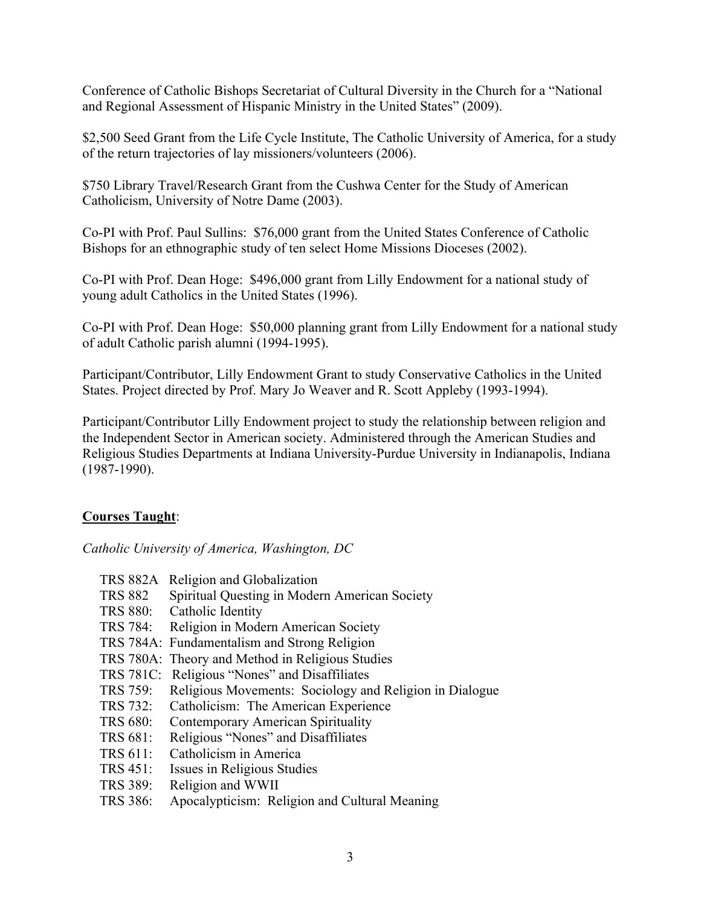Conference of Catholic Bishops Secretariat of Cultural Diversity in the Church for a "National and Regional Assessment of Hispanic Ministry in the United States" (2009).

\$2,500 Seed Grant from the Life Cycle Institute, The Catholic University of America, for a study of the return trajectories of lay missioners/volunteers (2006).

\$750 Library Travel/Research Grant from the Cushwa Center for the Study of American Catholicism, University of Notre Dame (2003).

Co-PI with Prof. Paul Sullins: \$76,000 grant from the United States Conference of Catholic Bishops for an ethnographic study of ten select Home Missions Dioceses (2002).

Co-PI with Prof. Dean Hoge: \$496,000 grant from Lilly Endowment for a national study of young adult Catholics in the United States (1996).

Co-PI with Prof. Dean Hoge: \$50,000 planning grant from Lilly Endowment for a national study of adult Catholic parish alumni (1994-1995).

Participant/Contributor, Lilly Endowment Grant to study Conservative Catholics in the United States. Project directed by Prof. Mary Jo Weaver and R. Scott Appleby (1993-1994).

Participant/Contributor Lilly Endowment project to study the relationship between religion and the Independent Sector in American society. Administered through the American Studies and Religious Studies Departments at Indiana University-Purdue University in Indianapolis, Indiana (1987-1990).

# **Courses Taught**:

*Catholic University of America, Washington, DC*

- TRS 882A Religion and Globalization
- TRS 882 Spiritual Questing in Modern American Society
- TRS 880: Catholic Identity
- TRS 784: Religion in Modern American Society
- TRS 784A: Fundamentalism and Strong Religion
- TRS 780A: Theory and Method in Religious Studies
- TRS 781C: Religious "Nones" and Disaffiliates
- TRS 759: Religious Movements: Sociology and Religion in Dialogue
- TRS 732: Catholicism: The American Experience
- TRS 680: Contemporary American Spirituality
- TRS 681: Religious "Nones" and Disaffiliates
- TRS 611: Catholicism in America
- TRS 451: Issues in Religious Studies
- TRS 389: Religion and WWII
- TRS 386: Apocalypticism: Religion and Cultural Meaning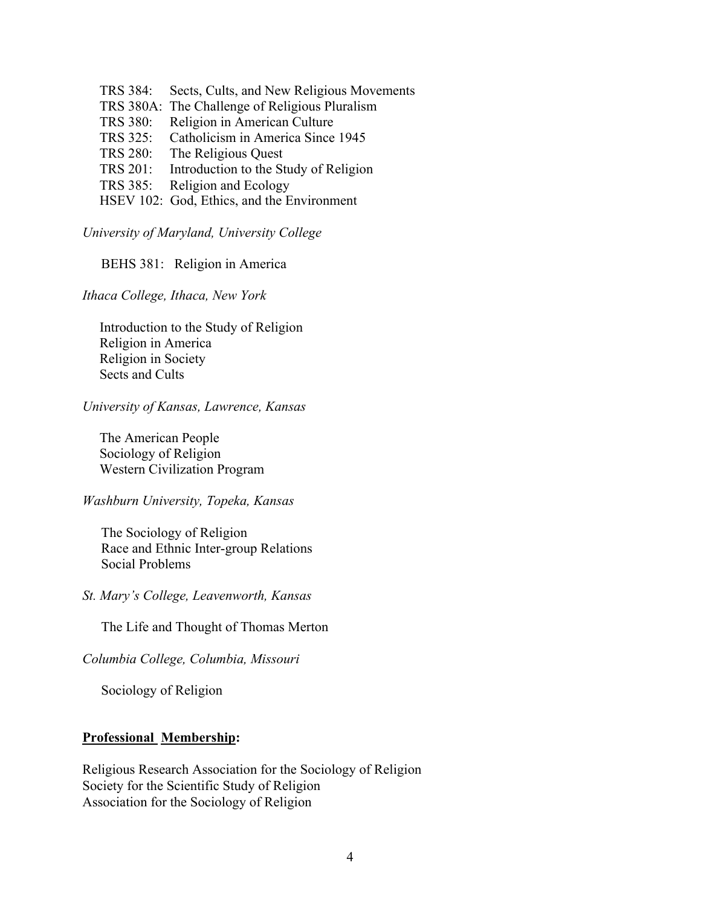TRS 384: Sects, Cults, and New Religious Movements TRS 380A: The Challenge of Religious Pluralism TRS 380: Religion in American Culture TRS 325: Catholicism in America Since 1945 TRS 280: The Religious Quest TRS 201: Introduction to the Study of Religion TRS 385: Religion and Ecology HSEV 102: God, Ethics, and the Environment

*University of Maryland, University College*

BEHS 381: Religion in America

*Ithaca College, Ithaca, New York*

 Introduction to the Study of Religion Religion in America Religion in Society Sects and Cults

*University of Kansas, Lawrence, Kansas*

The American People Sociology of Religion Western Civilization Program

#### *Washburn University, Topeka, Kansas*

The Sociology of Religion Race and Ethnic Inter-group Relations Social Problems

*St. Mary's College, Leavenworth, Kansas*

The Life and Thought of Thomas Merton

*Columbia College, Columbia, Missouri*

Sociology of Religion

#### **Professional Membership:**

Religious Research Association for the Sociology of Religion Society for the Scientific Study of Religion Association for the Sociology of Religion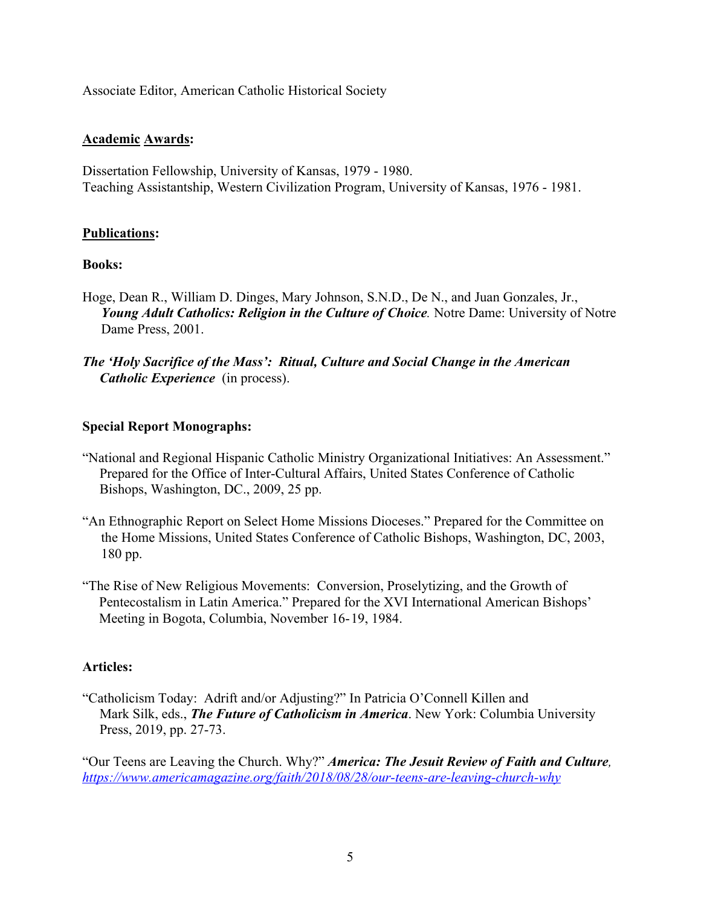Associate Editor, American Catholic Historical Society

# **Academic Awards:**

Dissertation Fellowship, University of Kansas, 1979 - 1980. Teaching Assistantship, Western Civilization Program, University of Kansas, 1976 - 1981.

# **Publications:**

## **Books:**

- Hoge, Dean R., William D. Dinges, Mary Johnson, S.N.D., De N., and Juan Gonzales, Jr., *Young Adult Catholics: Religion in the Culture of Choice.* Notre Dame: University of Notre Dame Press, 2001.
- *The 'Holy Sacrifice of the Mass': Ritual, Culture and Social Change in the American Catholic Experience* (in process).

# **Special Report Monographs:**

- "National and Regional Hispanic Catholic Ministry Organizational Initiatives: An Assessment." Prepared for the Office of Inter-Cultural Affairs, United States Conference of Catholic Bishops, Washington, DC., 2009, 25 pp.
- "An Ethnographic Report on Select Home Missions Dioceses." Prepared for the Committee on the Home Missions, United States Conference of Catholic Bishops, Washington, DC, 2003, 180 pp.
- "The Rise of New Religious Movements: Conversion, Proselytizing, and the Growth of Pentecostalism in Latin America." Prepared for the XVI International American Bishops' Meeting in Bogota, Columbia, November 16-19, 1984.

# **Articles:**

"Catholicism Today: Adrift and/or Adjusting?" In Patricia O'Connell Killen and Mark Silk, eds., *The Future of Catholicism in America*. New York: Columbia University Press, 2019, pp. 27-73.

"Our Teens are Leaving the Church. Why?" *America: The Jesuit Review of Faith and Culture, https://www.americamagazine.org/faith/2018/08/28/our-teens-are-leaving-church-why*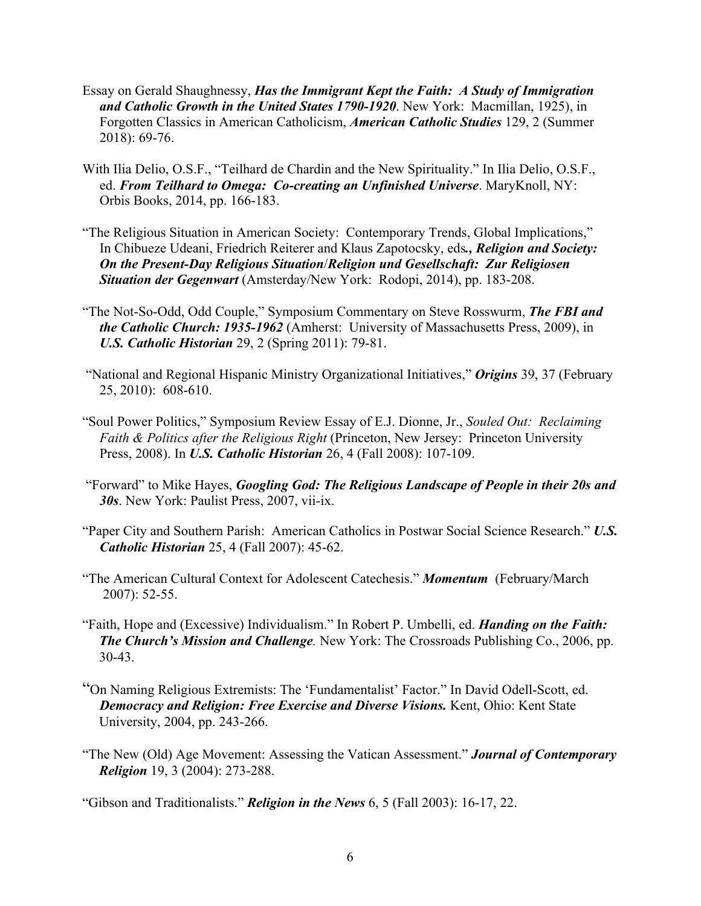- Essay on Gerald Shaughnessy, *Has the Immigrant Kept the Faith: A Study of Immigration and Catholic Growth in the United States 1790-1920*. New York: Macmillan, 1925), in Forgotten Classics in American Catholicism, *American Catholic Studies* 129, 2 (Summer 2018): 69-76.
- With Ilia Delio, O.S.F., "Teilhard de Chardin and the New Spirituality." In Ilia Delio, O.S.F., ed. *From Teilhard to Omega: Co-creating an Unfinished Universe*. MaryKnoll, NY: Orbis Books, 2014, pp. 166-183.
- "The Religious Situation in American Society: Contemporary Trends, Global Implications," In Chibueze Udeani, Friedrich Reiterer and Klaus Zapotocsky, eds*., Religion and Society: On the Present-Day Religious Situation*/*Religion und Gesellschaft: Zur Religiosen Situation der Gegenwart* (Amsterday/New York: Rodopi, 2014), pp. 183-208.
- "The Not-So-Odd, Odd Couple," Symposium Commentary on Steve Rosswurm, *The FBI and the Catholic Church: 1935-1962* (Amherst: University of Massachusetts Press, 2009), in *U.S. Catholic Historian* 29, 2 (Spring 2011): 79-81.
- "National and Regional Hispanic Ministry Organizational Initiatives," *Origins* 39, 37 (February 25, 2010): 608-610.
- "Soul Power Politics," Symposium Review Essay of E.J. Dionne, Jr., *Souled Out: Reclaiming Faith & Politics after the Religious Right* (Princeton, New Jersey: Princeton University Press, 2008). In *U.S. Catholic Historian* 26, 4 (Fall 2008): 107-109.
- "Forward" to Mike Hayes, *Googling God: The Religious Landscape of People in their 20s and 30s*. New York: Paulist Press, 2007, vii-ix.
- "Paper City and Southern Parish: American Catholics in Postwar Social Science Research." *U.S. Catholic Historian* 25, 4 (Fall 2007): 45-62.
- "The American Cultural Context for Adolescent Catechesis." *Momentum* (February/March 2007): 52-55.
- "Faith, Hope and (Excessive) Individualism." In Robert P. Umbelli, ed. *Handing on the Faith: The Church's Mission and Challenge.* New York: The Crossroads Publishing Co., 2006, pp. 30-43.
- "On Naming Religious Extremists: The 'Fundamentalist' Factor." In David Odell-Scott, ed. *Democracy and Religion: Free Exercise and Diverse Visions.* Kent, Ohio: Kent State University, 2004, pp. 243-266.
- "The New (Old) Age Movement: Assessing the Vatican Assessment." *Journal of Contemporary Religion* 19, 3 (2004): 273-288.

"Gibson and Traditionalists." *Religion in the News* 6, 5 (Fall 2003): 16-17, 22.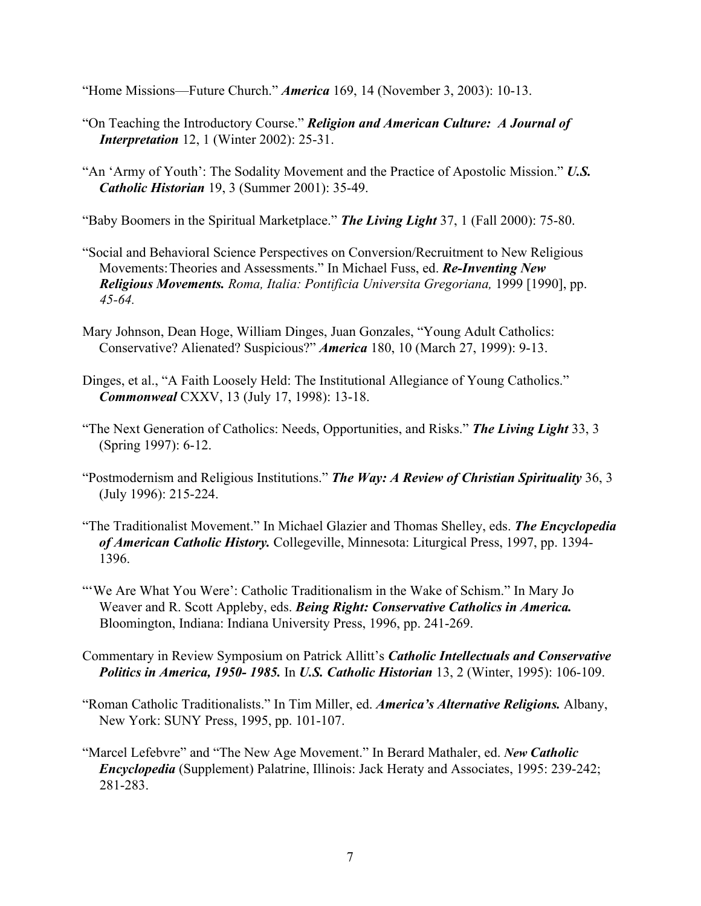"Home Missions—Future Church." *America* 169, 14 (November 3, 2003): 10-13.

- "On Teaching the Introductory Course." *Religion and American Culture: A Journal of Interpretation* 12, 1 (Winter 2002): 25-31.
- "An 'Army of Youth': The Sodality Movement and the Practice of Apostolic Mission." *U.S. Catholic Historian* 19, 3 (Summer 2001): 35-49.

"Baby Boomers in the Spiritual Marketplace." *The Living Light* 37, 1 (Fall 2000): 75-80.

- "Social and Behavioral Science Perspectives on Conversion/Recruitment to New Religious Movements:Theories and Assessments." In Michael Fuss, ed. *Re-Inventing New Religious Movements. Roma, Italia: Pontificia Universita Gregoriana,* 1999 [1990], pp. *45-64.*
- Mary Johnson, Dean Hoge, William Dinges, Juan Gonzales, "Young Adult Catholics: Conservative? Alienated? Suspicious?" *America* 180, 10 (March 27, 1999): 9-13.
- Dinges, et al., "A Faith Loosely Held: The Institutional Allegiance of Young Catholics." *Commonweal* CXXV, 13 (July 17, 1998): 13-18.
- "The Next Generation of Catholics: Needs, Opportunities, and Risks." *The Living Light* 33, 3 (Spring 1997): 6-12.
- "Postmodernism and Religious Institutions." *The Way: A Review of Christian Spirituality* 36, 3 (July 1996): 215-224.
- "The Traditionalist Movement." In Michael Glazier and Thomas Shelley, eds. *The Encyclopedia of American Catholic History.* Collegeville, Minnesota: Liturgical Press, 1997, pp. 1394- 1396.
- "'We Are What You Were': Catholic Traditionalism in the Wake of Schism." In Mary Jo Weaver and R. Scott Appleby, eds. *Being Right: Conservative Catholics in America.* Bloomington, Indiana: Indiana University Press, 1996, pp. 241-269.
- Commentary in Review Symposium on Patrick Allitt's *Catholic Intellectuals and Conservative Politics in America, 1950- 1985.* In *U.S. Catholic Historian* 13, 2 (Winter, 1995): 106-109.
- "Roman Catholic Traditionalists." In Tim Miller, ed. *America's Alternative Religions.* Albany, New York: SUNY Press, 1995, pp. 101-107.
- "Marcel Lefebvre" and "The New Age Movement." In Berard Mathaler, ed. *New Catholic Encyclopedia* (Supplement) Palatrine, Illinois: Jack Heraty and Associates, 1995: 239-242; 281-283.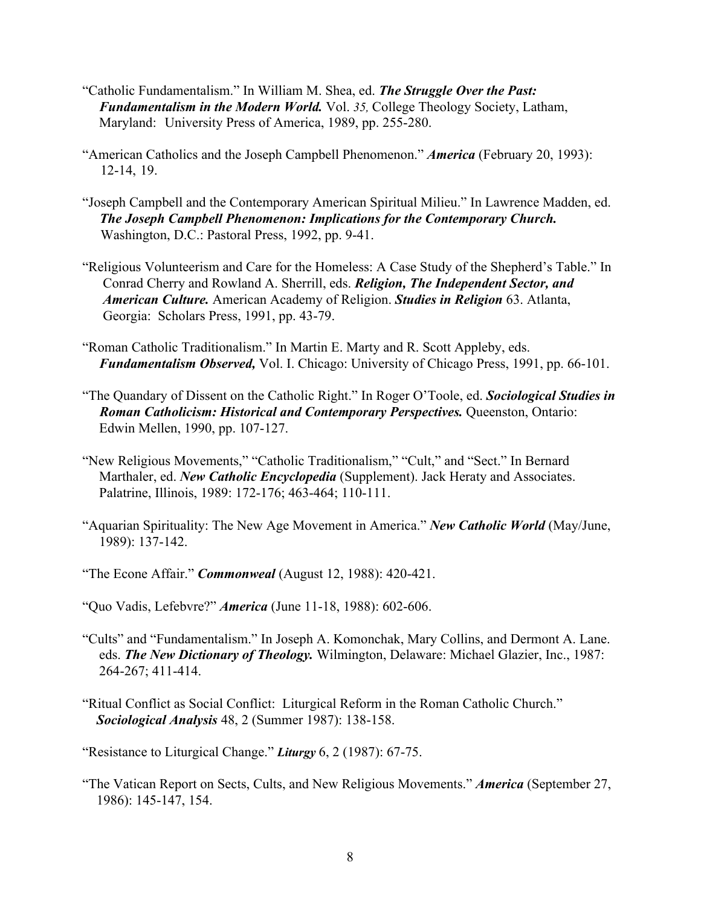- "Catholic Fundamentalism." In William M. Shea, ed. *The Struggle Over the Past: Fundamentalism in the Modern World.* Vol. 35, College Theology Society, Latham, Maryland: University Press of America, 1989, pp. 255-280.
- "American Catholics and the Joseph Campbell Phenomenon." *America* (February 20, 1993): 12-14, 19.
- "Joseph Campbell and the Contemporary American Spiritual Milieu." In Lawrence Madden, ed. *The Joseph Campbell Phenomenon: Implications for the Contemporary Church.* Washington, D.C.: Pastoral Press, 1992, pp. 9-41.
- "Religious Volunteerism and Care for the Homeless: A Case Study of the Shepherd's Table." In Conrad Cherry and Rowland A. Sherrill, eds. *Religion, The Independent Sector, and American Culture.* American Academy of Religion. *Studies in Religion* 63. Atlanta, Georgia: Scholars Press, 1991, pp. 43-79.
- "Roman Catholic Traditionalism." In Martin E. Marty and R. Scott Appleby, eds. *Fundamentalism Observed,* Vol. I. Chicago: University of Chicago Press, 1991, pp. 66-101.
- "The Quandary of Dissent on the Catholic Right." In Roger O'Toole, ed. *Sociological Studies in Roman Catholicism: Historical and Contemporary Perspectives. Oueenston, Ontario:* Edwin Mellen, 1990, pp. 107-127.
- "New Religious Movements," "Catholic Traditionalism," "Cult," and "Sect." In Bernard Marthaler, ed. *New Catholic Encyclopedia* (Supplement). Jack Heraty and Associates. Palatrine, Illinois, 1989: 172-176; 463-464; 110-111.
- "Aquarian Spirituality: The New Age Movement in America." *New Catholic World* (May/June, 1989): 137-142.
- "The Econe Affair." *Commonweal* (August 12, 1988): 420-421.
- "Quo Vadis, Lefebvre?" *America* (June 11-18, 1988): 602-606.
- "Cults" and "Fundamentalism." In Joseph A. Komonchak, Mary Collins, and Dermont A. Lane. eds. *The New Dictionary of Theology.* Wilmington, Delaware: Michael Glazier, Inc., 1987: 264-267; 411-414.
- "Ritual Conflict as Social Conflict: Liturgical Reform in the Roman Catholic Church." *Sociological Analysis* 48, 2 (Summer 1987): 138-158.

"Resistance to Liturgical Change." *Liturgy* 6, 2 (1987): 67-75.

"The Vatican Report on Sects, Cults, and New Religious Movements." *America* (September 27, 1986): 145-147, 154.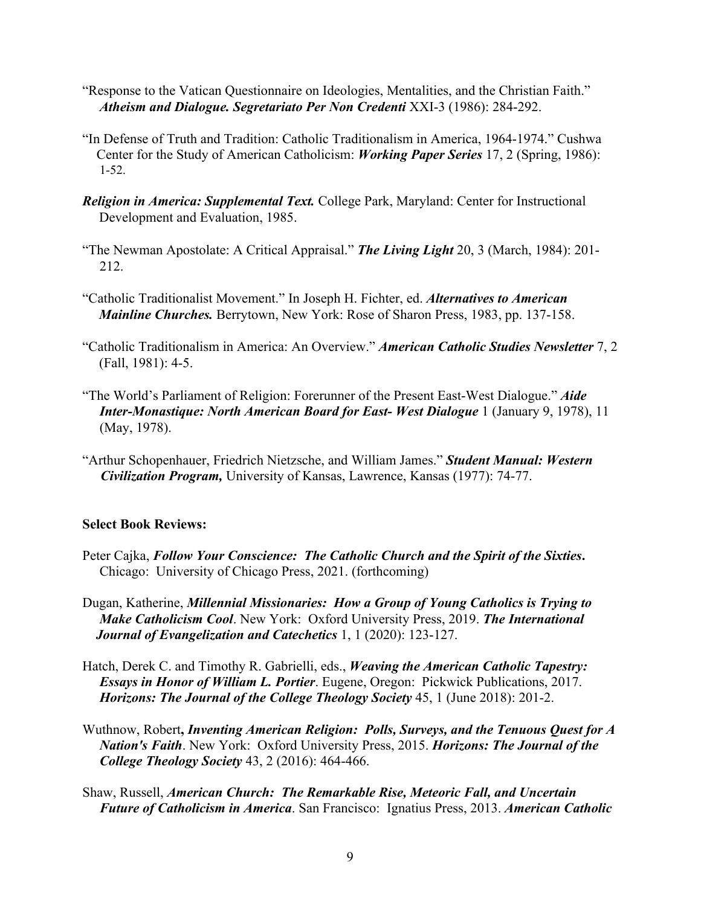- "Response to the Vatican Questionnaire on Ideologies, Mentalities, and the Christian Faith." *Atheism and Dialogue. Segretariato Per Non Credenti* XXI-3 (1986): 284-292.
- "In Defense of Truth and Tradition: Catholic Traditionalism in America, 1964-1974." Cushwa Center for the Study of American Catholicism: *Working Paper Series* 17, 2 (Spring, 1986): 1-52.
- *Religion in America: Supplemental Text.* College Park, Maryland: Center for Instructional Development and Evaluation, 1985.
- "The Newman Apostolate: A Critical Appraisal." *The Living Light* 20, 3 (March, 1984): 201- 212.
- "Catholic Traditionalist Movement." In Joseph H. Fichter, ed. *Alternatives to American Mainline Churches.* Berrytown, New York: Rose of Sharon Press, 1983, pp. 137-158.
- "Catholic Traditionalism in America: An Overview." *American Catholic Studies Newsletter* 7, 2 (Fall, 1981): 4-5.
- "The World's Parliament of Religion: Forerunner of the Present East-West Dialogue." *Aide Inter-Monastique: North American Board for East- West Dialogue* 1 (January 9, 1978), 11 (May, 1978).
- "Arthur Schopenhauer, Friedrich Nietzsche, and William James." *Student Manual: Western Civilization Program,* University of Kansas, Lawrence, Kansas (1977): 74-77.

## **Select Book Reviews:**

- Peter Cajka, *Follow Your Conscience: The Catholic Church and the Spirit of the Sixties***.** Chicago: University of Chicago Press, 2021. (forthcoming)
- Dugan, Katherine, *Millennial Missionaries: How a Group of Young Catholics is Trying to Make Catholicism Cool*. New York: Oxford University Press, 2019. *The International Journal of Evangelization and Catechetics* 1, 1 (2020): 123-127.
- Hatch, Derek C. and Timothy R. Gabrielli, eds., *Weaving the American Catholic Tapestry: Essays in Honor of William L. Portier*. Eugene, Oregon: Pickwick Publications, 2017. *Horizons: The Journal of the College Theology Society* 45, 1 (June 2018): 201-2.
- Wuthnow, Robert**,** *Inventing American Religion: Polls, Surveys, and the Tenuous Quest for A Nation's Faith*. New York: Oxford University Press, 2015. *Horizons: The Journal of the College Theology Society* 43, 2 (2016): 464-466.
- Shaw, Russell, *American Church: The Remarkable Rise, Meteoric Fall, and Uncertain Future of Catholicism in America*. San Francisco: Ignatius Press, 2013. *American Catholic*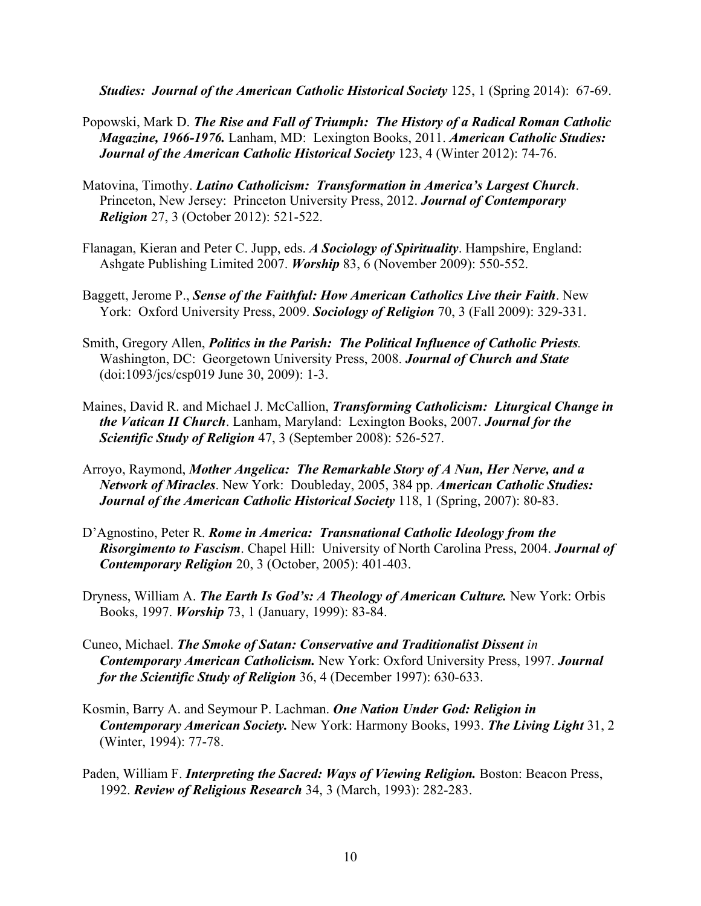*Studies: Journal of the American Catholic Historical Society* 125, 1 (Spring 2014): 67-69.

- Popowski, Mark D. *The Rise and Fall of Triumph: The History of a Radical Roman Catholic Magazine, 1966-1976.* Lanham, MD: Lexington Books, 2011. *American Catholic Studies: Journal of the American Catholic Historical Society* 123, 4 (Winter 2012): 74-76.
- Matovina, Timothy. *Latino Catholicism: Transformation in America's Largest Church*. Princeton, New Jersey: Princeton University Press, 2012. *Journal of Contemporary Religion* 27, 3 (October 2012): 521-522.
- Flanagan, Kieran and Peter C. Jupp, eds. *A Sociology of Spirituality*. Hampshire, England: Ashgate Publishing Limited 2007. *Worship* 83, 6 (November 2009): 550-552.
- Baggett, Jerome P., *Sense of the Faithful: How American Catholics Live their Faith*. New York: Oxford University Press, 2009. *Sociology of Religion* 70, 3 (Fall 2009): 329-331.
- Smith, Gregory Allen, *Politics in the Parish: The Political Influence of Catholic Priests.* Washington, DC: Georgetown University Press, 2008. *Journal of Church and State* (doi:1093/jcs/csp019 June 30, 2009): 1-3.
- Maines, David R. and Michael J. McCallion, *Transforming Catholicism: Liturgical Change in the Vatican II Church*. Lanham, Maryland: Lexington Books, 2007. *Journal for the Scientific Study of Religion* 47, 3 (September 2008): 526-527.
- Arroyo, Raymond, *Mother Angelica: The Remarkable Story of A Nun, Her Nerve, and a Network of Miracles*. New York: Doubleday, 2005, 384 pp. *American Catholic Studies: Journal of the American Catholic Historical Society* 118, 1 (Spring, 2007): 80-83.
- D'Agnostino, Peter R. *Rome in America: Transnational Catholic Ideology from the Risorgimento to Fascism*. Chapel Hill: University of North Carolina Press, 2004. *Journal of Contemporary Religion* 20, 3 (October, 2005): 401-403.
- Dryness, William A. *The Earth Is God's: A Theology of American Culture.* New York: Orbis Books, 1997. *Worship* 73, 1 (January, 1999): 83-84.
- Cuneo, Michael. *The Smoke of Satan: Conservative and Traditionalist Dissent in Contemporary American Catholicism.* New York: Oxford University Press, 1997. *Journal for the Scientific Study of Religion* 36, 4 (December 1997): 630-633.
- Kosmin, Barry A. and Seymour P. Lachman. *One Nation Under God: Religion in Contemporary American Society.* New York: Harmony Books, 1993. *The Living Light* 31, 2 (Winter, 1994): 77-78.
- Paden, William F. *Interpreting the Sacred: Ways of Viewing Religion*. Boston: Beacon Press, 1992. *Review of Religious Research* 34, 3 (March, 1993): 282-283.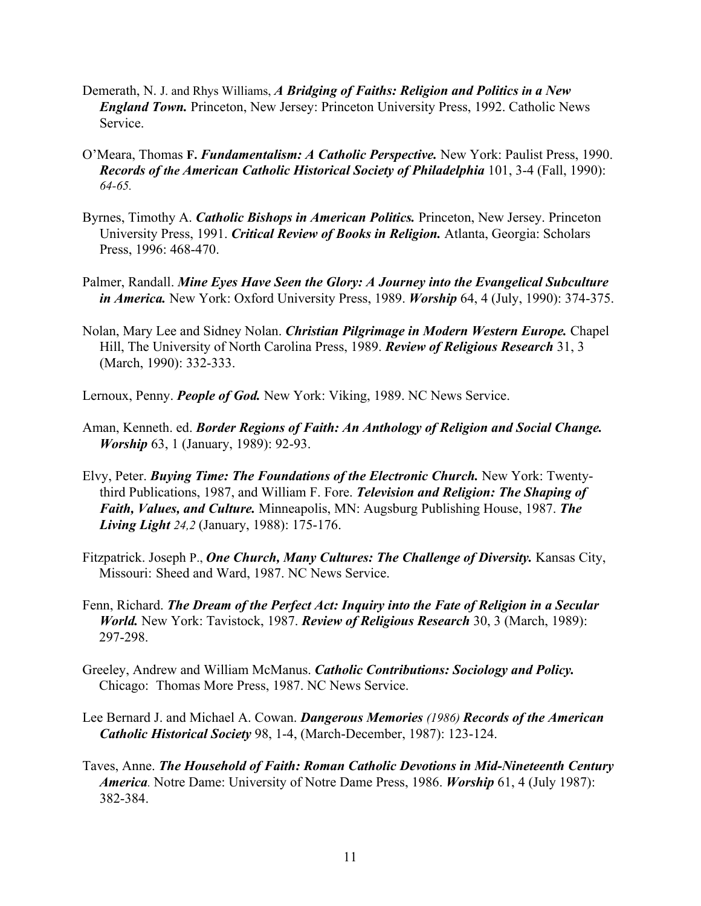- Demerath, N. J. and Rhys Williams, *A Bridging of Faiths: Religion and Politics in a New England Town.* Princeton, New Jersey: Princeton University Press, 1992. Catholic News Service.
- O'Meara, Thomas **F.** *Fundamentalism: A Catholic Perspective.* New York: Paulist Press, 1990. *Records of the American Catholic Historical Society of Philadelphia* 101, 3-4 (Fall, 1990): *64-65.*
- Byrnes, Timothy A. *Catholic Bishops in American Politics.* Princeton, New Jersey. Princeton University Press, 1991. *Critical Review of Books in Religion.* Atlanta, Georgia: Scholars Press, 1996: 468-470.
- Palmer, Randall. *Mine Eyes Have Seen the Glory: A Journey into the Evangelical Subculture in America.* New York: Oxford University Press, 1989. *Worship* 64, 4 (July, 1990): 374-375.
- Nolan, Mary Lee and Sidney Nolan. *Christian Pilgrimage in Modern Western Europe.* Chapel Hill, The University of North Carolina Press, 1989. *Review of Religious Research* 31, 3 (March, 1990): 332-333.
- Lernoux, Penny. *People of God.* New York: Viking, 1989. NC News Service.
- Aman, Kenneth. ed. *Border Regions of Faith: An Anthology of Religion and Social Change. Worship* 63, 1 (January, 1989): 92-93.
- Elvy, Peter. *Buying Time: The Foundations of the Electronic Church.* New York: Twentythird Publications, 1987, and William F. Fore. *Television and Religion: The Shaping of Faith, Values, and Culture.* Minneapolis, MN: Augsburg Publishing House, 1987. *The Living Light 24,2* (January, 1988): 175-176.
- Fitzpatrick. Joseph P., **One Church, Many Cultures: The Challenge of Diversity.** Kansas City, Missouri: Sheed and Ward, 1987. NC News Service.
- Fenn, Richard. *The Dream of the Perfect Act: Inquiry into the Fate of Religion in a Secular World.* New York: Tavistock, 1987. *Review of Religious Research* 30, 3 (March, 1989): 297-298.
- Greeley, Andrew and William McManus. *Catholic Contributions: Sociology and Policy.* Chicago: Thomas More Press, 1987. NC News Service.
- Lee Bernard J. and Michael A. Cowan. *Dangerous Memories (1986) Records of the American Catholic Historical Society* 98, 1-4, (March-December, 1987): 123-124.
- Taves, Anne. *The Household of Faith: Roman Catholic Devotions in Mid-Nineteenth Century America.* Notre Dame: University of Notre Dame Press, 1986. *Worship* 61, 4 (July 1987): 382-384.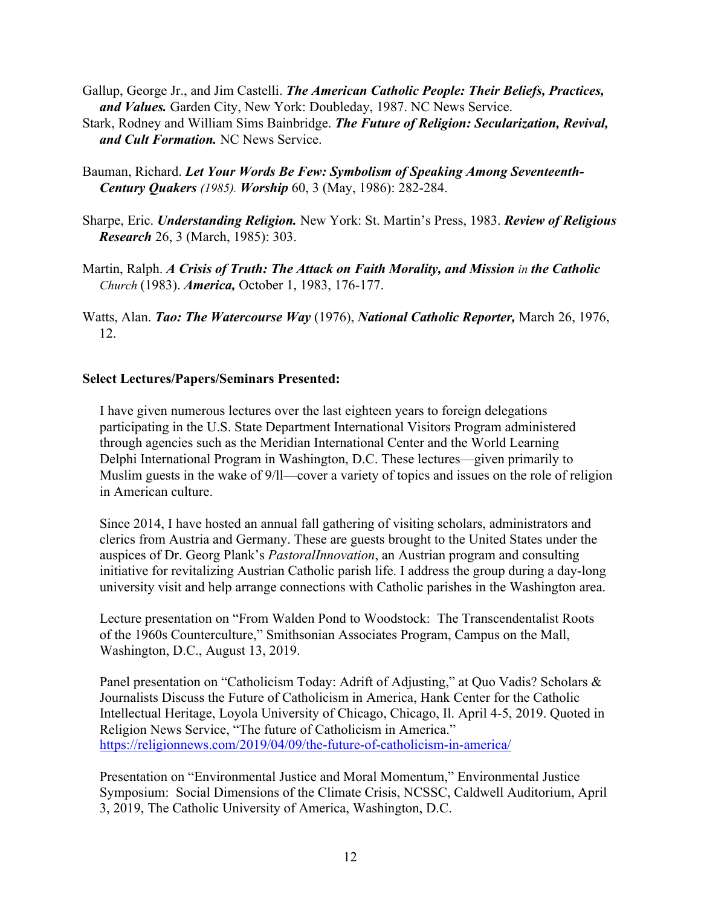- Gallup, George Jr., and Jim Castelli. *The American Catholic People: Their Beliefs, Practices, and Values.* Garden City, New York: Doubleday, 1987. NC News Service.
- Stark, Rodney and William Sims Bainbridge. *The Future of Religion: Secularization, Revival, and Cult Formation.* NC News Service.
- Bauman, Richard. *Let Your Words Be Few: Symbolism of Speaking Among Seventeenth-Century Quakers (1985). Worship* 60, 3 (May, 1986): 282-284.
- Sharpe, Eric. *Understanding Religion.* New York: St. Martin's Press, 1983. *Review of Religious Research* 26, 3 (March, 1985): 303.
- Martin, Ralph. *A Crisis of Truth: The Attack on Faith Morality, and Mission in the Catholic Church* (1983). *America,* October 1, 1983, 176-177.
- Watts, Alan. *Tao: The Watercourse Way* (1976), *National Catholic Reporter,* March 26, 1976, 12.

# **Select Lectures/Papers/Seminars Presented:**

 I have given numerous lectures over the last eighteen years to foreign delegations participating in the U.S. State Department International Visitors Program administered through agencies such as the Meridian International Center and the World Learning Delphi International Program in Washington, D.C. These lectures—given primarily to Muslim guests in the wake of 9/ll—cover a variety of topics and issues on the role of religion in American culture.

 Since 2014, I have hosted an annual fall gathering of visiting scholars, administrators and clerics from Austria and Germany. These are guests brought to the United States under the auspices of Dr. Georg Plank's *PastoralInnovation*, an Austrian program and consulting initiative for revitalizing Austrian Catholic parish life. I address the group during a day-long university visit and help arrange connections with Catholic parishes in the Washington area.

 Lecture presentation on "From Walden Pond to Woodstock: The Transcendentalist Roots of the 1960s Counterculture," Smithsonian Associates Program, Campus on the Mall, Washington, D.C., August 13, 2019.

Panel presentation on "Catholicism Today: Adrift of Adjusting," at Quo Vadis? Scholars & Journalists Discuss the Future of Catholicism in America, Hank Center for the Catholic Intellectual Heritage, Loyola University of Chicago, Chicago, Il. April 4-5, 2019. Quoted in Religion News Service, "The future of Catholicism in America." https://religionnews.com/2019/04/09/the-future-of-catholicism-in-america/

 Presentation on "Environmental Justice and Moral Momentum," Environmental Justice Symposium: Social Dimensions of the Climate Crisis, NCSSC, Caldwell Auditorium, April 3, 2019, The Catholic University of America, Washington, D.C.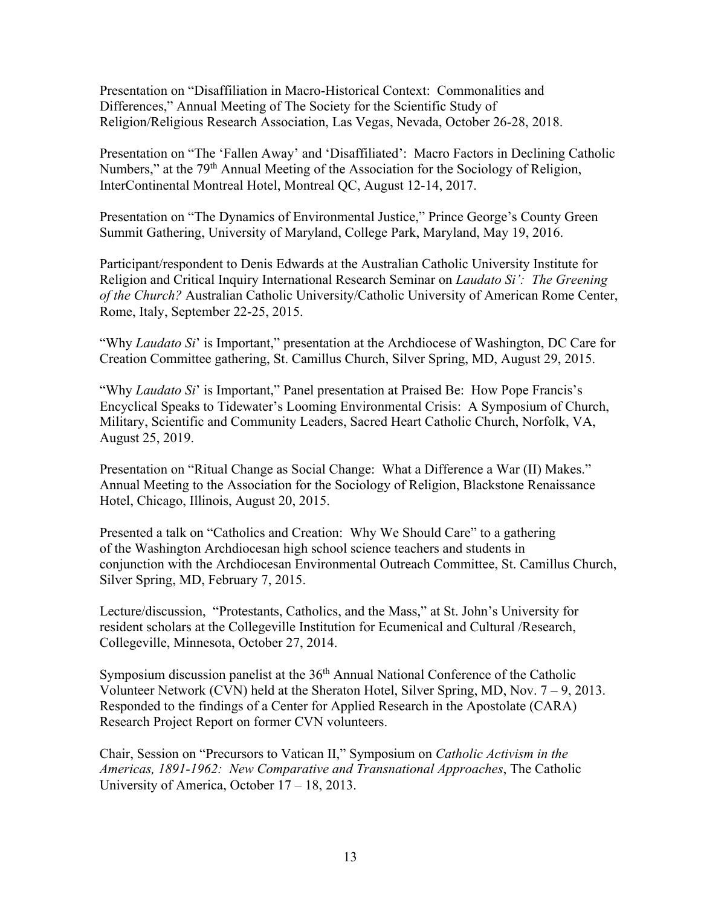Presentation on "Disaffiliation in Macro-Historical Context: Commonalities and Differences," Annual Meeting of The Society for the Scientific Study of Religion/Religious Research Association, Las Vegas, Nevada, October 26-28, 2018.

 Presentation on "The 'Fallen Away' and 'Disaffiliated': Macro Factors in Declining Catholic Numbers," at the 79<sup>th</sup> Annual Meeting of the Association for the Sociology of Religion, InterContinental Montreal Hotel, Montreal QC, August 12-14, 2017.

 Presentation on "The Dynamics of Environmental Justice," Prince George's County Green Summit Gathering, University of Maryland, College Park, Maryland, May 19, 2016.

 Participant/respondent to Denis Edwards at the Australian Catholic University Institute for Religion and Critical Inquiry International Research Seminar on *Laudato Si': The Greening of the Church?* Australian Catholic University/Catholic University of American Rome Center, Rome, Italy, September 22-25, 2015.

 "Why *Laudato Si*' is Important," presentation at the Archdiocese of Washington, DC Care for Creation Committee gathering, St. Camillus Church, Silver Spring, MD, August 29, 2015.

"Why *Laudato Si'* is Important," Panel presentation at Praised Be: How Pope Francis's Encyclical Speaks to Tidewater's Looming Environmental Crisis: A Symposium of Church, Military, Scientific and Community Leaders, Sacred Heart Catholic Church, Norfolk, VA, August 25, 2019.

 Presentation on "Ritual Change as Social Change: What a Difference a War (II) Makes." Annual Meeting to the Association for the Sociology of Religion, Blackstone Renaissance Hotel, Chicago, Illinois, August 20, 2015.

Presented a talk on "Catholics and Creation: Why We Should Care" to a gathering of the Washington Archdiocesan high school science teachers and students in conjunction with the Archdiocesan Environmental Outreach Committee, St. Camillus Church, Silver Spring, MD, February 7, 2015.

 Lecture/discussion, "Protestants, Catholics, and the Mass," at St. John's University for resident scholars at the Collegeville Institution for Ecumenical and Cultural /Research, Collegeville, Minnesota, October 27, 2014.

Symposium discussion panelist at the 36<sup>th</sup> Annual National Conference of the Catholic Volunteer Network (CVN) held at the Sheraton Hotel, Silver Spring, MD, Nov. 7 – 9, 2013. Responded to the findings of a Center for Applied Research in the Apostolate (CARA) Research Project Report on former CVN volunteers.

 Chair, Session on "Precursors to Vatican II," Symposium on *Catholic Activism in the Americas, 1891-1962: New Comparative and Transnational Approaches*, The Catholic University of America, October 17 – 18, 2013.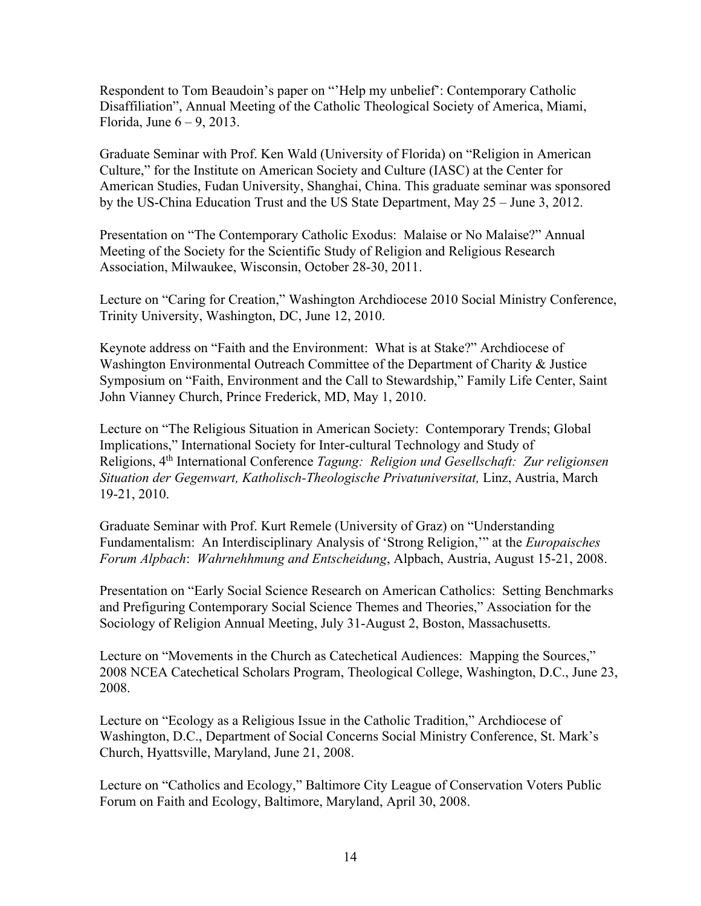Respondent to Tom Beaudoin's paper on "'Help my unbelief': Contemporary Catholic Disaffiliation", Annual Meeting of the Catholic Theological Society of America, Miami, Florida, June  $6 - 9$ , 2013.

 Graduate Seminar with Prof. Ken Wald (University of Florida) on "Religion in American Culture," for the Institute on American Society and Culture (IASC) at the Center for American Studies, Fudan University, Shanghai, China. This graduate seminar was sponsored by the US-China Education Trust and the US State Department, May 25 – June 3, 2012.

 Presentation on "The Contemporary Catholic Exodus: Malaise or No Malaise?" Annual Meeting of the Society for the Scientific Study of Religion and Religious Research Association, Milwaukee, Wisconsin, October 28-30, 2011.

 Lecture on "Caring for Creation," Washington Archdiocese 2010 Social Ministry Conference, Trinity University, Washington, DC, June 12, 2010.

 Keynote address on "Faith and the Environment: What is at Stake?" Archdiocese of Washington Environmental Outreach Committee of the Department of Charity & Justice Symposium on "Faith, Environment and the Call to Stewardship," Family Life Center, Saint John Vianney Church, Prince Frederick, MD, May 1, 2010.

 Lecture on "The Religious Situation in American Society: Contemporary Trends; Global Implications," International Society for Inter-cultural Technology and Study of Religions, 4th International Conference *Tagung: Religion und Gesellschaft: Zur religionsen Situation der Gegenwart, Katholisch-Theologische Privatuniversitat,* Linz, Austria, March 19-21, 2010.

 Graduate Seminar with Prof. Kurt Remele (University of Graz) on "Understanding Fundamentalism: An Interdisciplinary Analysis of 'Strong Religion,'" at the *Europaisches Forum Alpbach*: *Wahrnehhmung and Entscheidung*, Alpbach, Austria, August 15-21, 2008.

 Presentation on "Early Social Science Research on American Catholics: Setting Benchmarks and Prefiguring Contemporary Social Science Themes and Theories," Association for the Sociology of Religion Annual Meeting, July 31-August 2, Boston, Massachusetts.

 Lecture on "Movements in the Church as Catechetical Audiences: Mapping the Sources," 2008 NCEA Catechetical Scholars Program, Theological College, Washington, D.C., June 23, 2008.

 Lecture on "Ecology as a Religious Issue in the Catholic Tradition," Archdiocese of Washington, D.C., Department of Social Concerns Social Ministry Conference, St. Mark's Church, Hyattsville, Maryland, June 21, 2008.

 Lecture on "Catholics and Ecology," Baltimore City League of Conservation Voters Public Forum on Faith and Ecology, Baltimore, Maryland, April 30, 2008.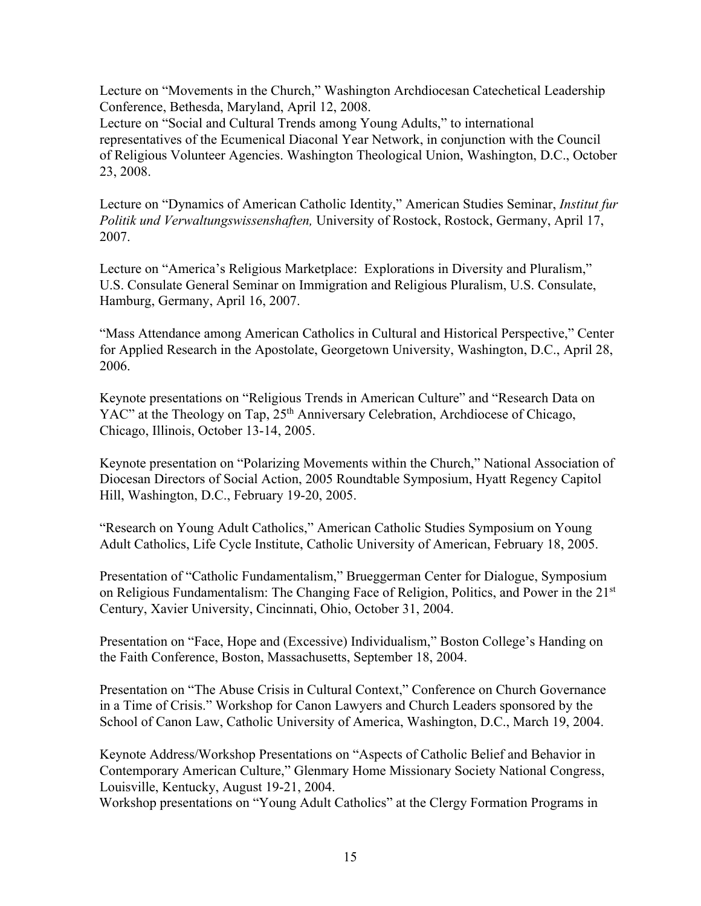Lecture on "Movements in the Church," Washington Archdiocesan Catechetical Leadership Conference, Bethesda, Maryland, April 12, 2008.

 Lecture on "Social and Cultural Trends among Young Adults," to international representatives of the Ecumenical Diaconal Year Network, in conjunction with the Council of Religious Volunteer Agencies. Washington Theological Union, Washington, D.C., October 23, 2008.

 Lecture on "Dynamics of American Catholic Identity," American Studies Seminar, *Institut fur Politik und Verwaltungswissenshaften,* University of Rostock, Rostock, Germany, April 17, 2007.

 Lecture on "America's Religious Marketplace: Explorations in Diversity and Pluralism," U.S. Consulate General Seminar on Immigration and Religious Pluralism, U.S. Consulate, Hamburg, Germany, April 16, 2007.

 "Mass Attendance among American Catholics in Cultural and Historical Perspective," Center for Applied Research in the Apostolate, Georgetown University, Washington, D.C., April 28, 2006.

 Keynote presentations on "Religious Trends in American Culture" and "Research Data on YAC" at the Theology on Tap, 25<sup>th</sup> Anniversary Celebration, Archdiocese of Chicago, Chicago, Illinois, October 13-14, 2005.

 Keynote presentation on "Polarizing Movements within the Church," National Association of Diocesan Directors of Social Action, 2005 Roundtable Symposium, Hyatt Regency Capitol Hill, Washington, D.C., February 19-20, 2005.

 "Research on Young Adult Catholics," American Catholic Studies Symposium on Young Adult Catholics, Life Cycle Institute, Catholic University of American, February 18, 2005.

 Presentation of "Catholic Fundamentalism," Brueggerman Center for Dialogue, Symposium on Religious Fundamentalism: The Changing Face of Religion, Politics, and Power in the 21<sup>st</sup> Century, Xavier University, Cincinnati, Ohio, October 31, 2004.

 Presentation on "Face, Hope and (Excessive) Individualism," Boston College's Handing on the Faith Conference, Boston, Massachusetts, September 18, 2004.

 Presentation on "The Abuse Crisis in Cultural Context," Conference on Church Governance in a Time of Crisis." Workshop for Canon Lawyers and Church Leaders sponsored by the School of Canon Law, Catholic University of America, Washington, D.C., March 19, 2004.

 Keynote Address/Workshop Presentations on "Aspects of Catholic Belief and Behavior in Contemporary American Culture," Glenmary Home Missionary Society National Congress, Louisville, Kentucky, August 19-21, 2004.

Workshop presentations on "Young Adult Catholics" at the Clergy Formation Programs in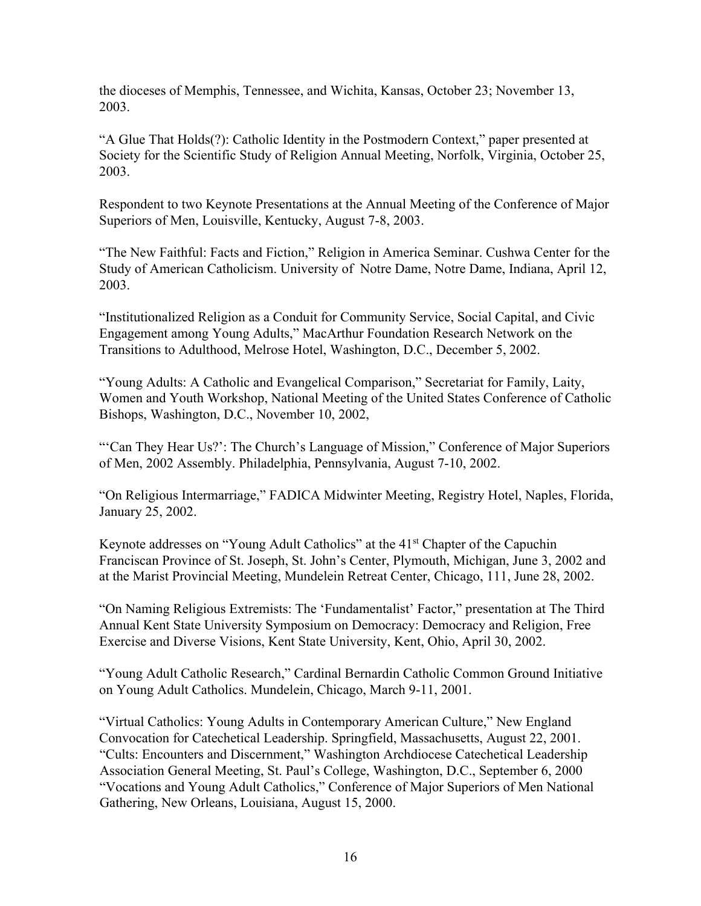the dioceses of Memphis, Tennessee, and Wichita, Kansas, October 23; November 13, 2003.

"A Glue That Holds(?): Catholic Identity in the Postmodern Context," paper presented at Society for the Scientific Study of Religion Annual Meeting, Norfolk, Virginia, October 25, 2003.

Respondent to two Keynote Presentations at the Annual Meeting of the Conference of Major Superiors of Men, Louisville, Kentucky, August 7-8, 2003.

"The New Faithful: Facts and Fiction," Religion in America Seminar. Cushwa Center for the Study of American Catholicism. University of Notre Dame, Notre Dame, Indiana, April 12, 2003.

"Institutionalized Religion as a Conduit for Community Service, Social Capital, and Civic Engagement among Young Adults," MacArthur Foundation Research Network on the Transitions to Adulthood, Melrose Hotel, Washington, D.C., December 5, 2002.

"Young Adults: A Catholic and Evangelical Comparison," Secretariat for Family, Laity, Women and Youth Workshop, National Meeting of the United States Conference of Catholic Bishops, Washington, D.C., November 10, 2002,

"'Can They Hear Us?': The Church's Language of Mission," Conference of Major Superiors of Men, 2002 Assembly. Philadelphia, Pennsylvania, August 7-10, 2002.

"On Religious Intermarriage," FADICA Midwinter Meeting, Registry Hotel, Naples, Florida, January 25, 2002.

Keynote addresses on "Young Adult Catholics" at the 41st Chapter of the Capuchin Franciscan Province of St. Joseph, St. John's Center, Plymouth, Michigan, June 3, 2002 and at the Marist Provincial Meeting, Mundelein Retreat Center, Chicago, 111, June 28, 2002.

"On Naming Religious Extremists: The 'Fundamentalist' Factor," presentation at The Third Annual Kent State University Symposium on Democracy: Democracy and Religion, Free Exercise and Diverse Visions, Kent State University, Kent, Ohio, April 30, 2002.

"Young Adult Catholic Research," Cardinal Bernardin Catholic Common Ground Initiative on Young Adult Catholics. Mundelein, Chicago, March 9-11, 2001.

"Virtual Catholics: Young Adults in Contemporary American Culture," New England Convocation for Catechetical Leadership. Springfield, Massachusetts, August 22, 2001. "Cults: Encounters and Discernment," Washington Archdiocese Catechetical Leadership Association General Meeting, St. Paul's College, Washington, D.C., September 6, 2000 "Vocations and Young Adult Catholics," Conference of Major Superiors of Men National Gathering, New Orleans, Louisiana, August 15, 2000.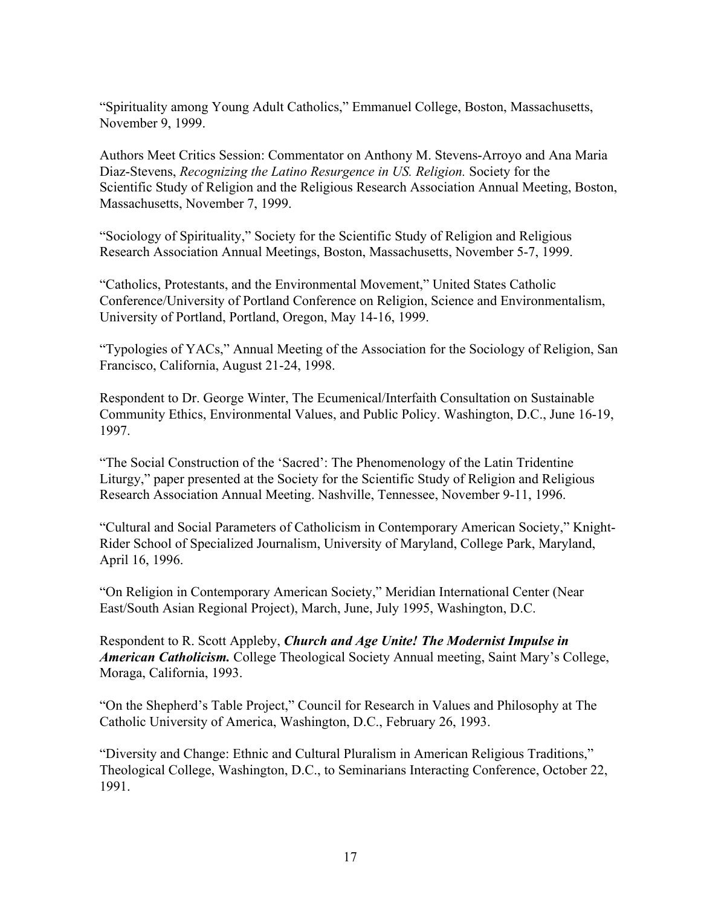"Spirituality among Young Adult Catholics," Emmanuel College, Boston, Massachusetts, November 9, 1999.

 Authors Meet Critics Session: Commentator on Anthony M. Stevens-Arroyo and Ana Maria Diaz-Stevens, *Recognizing the Latino Resurgence in US. Religion.* Society for the Scientific Study of Religion and the Religious Research Association Annual Meeting, Boston, Massachusetts, November 7, 1999.

 "Sociology of Spirituality," Society for the Scientific Study of Religion and Religious Research Association Annual Meetings, Boston, Massachusetts, November 5-7, 1999.

 "Catholics, Protestants, and the Environmental Movement," United States Catholic Conference/University of Portland Conference on Religion, Science and Environmentalism, University of Portland, Portland, Oregon, May 14-16, 1999.

 "Typologies of YACs," Annual Meeting of the Association for the Sociology of Religion, San Francisco, California, August 21-24, 1998.

 Respondent to Dr. George Winter, The Ecumenical/Interfaith Consultation on Sustainable Community Ethics, Environmental Values, and Public Policy. Washington, D.C., June 16-19, 1997.

 "The Social Construction of the 'Sacred': The Phenomenology of the Latin Tridentine Liturgy," paper presented at the Society for the Scientific Study of Religion and Religious Research Association Annual Meeting. Nashville, Tennessee, November 9-11, 1996.

 "Cultural and Social Parameters of Catholicism in Contemporary American Society," Knight- Rider School of Specialized Journalism, University of Maryland, College Park, Maryland, April 16, 1996.

 "On Religion in Contemporary American Society," Meridian International Center (Near East/South Asian Regional Project), March, June, July 1995, Washington, D.C.

 Respondent to R. Scott Appleby, *Church and Age Unite! The Modernist Impulse in American Catholicism.* College Theological Society Annual meeting, Saint Mary's College, Moraga, California, 1993.

 "On the Shepherd's Table Project," Council for Research in Values and Philosophy at The Catholic University of America, Washington, D.C., February 26, 1993.

 "Diversity and Change: Ethnic and Cultural Pluralism in American Religious Traditions," Theological College, Washington, D.C., to Seminarians Interacting Conference, October 22, 1991.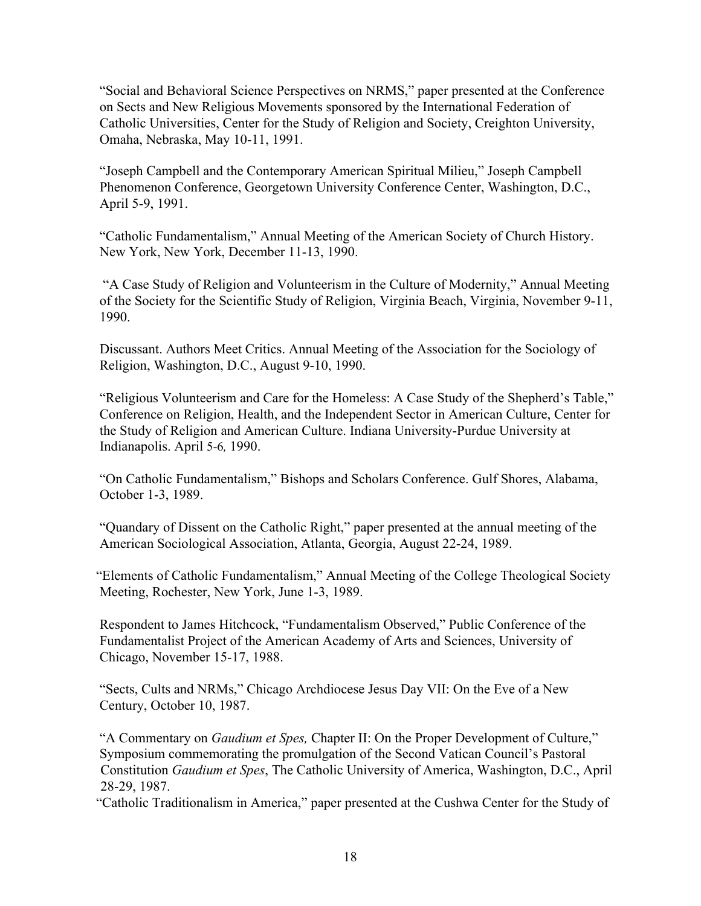"Social and Behavioral Science Perspectives on NRMS," paper presented at the Conference on Sects and New Religious Movements sponsored by the International Federation of Catholic Universities, Center for the Study of Religion and Society, Creighton University, Omaha, Nebraska, May 10-11, 1991.

 "Joseph Campbell and the Contemporary American Spiritual Milieu," Joseph Campbell Phenomenon Conference, Georgetown University Conference Center, Washington, D.C., April 5-9, 1991.

 "Catholic Fundamentalism," Annual Meeting of the American Society of Church History. New York, New York, December 11-13, 1990.

 "A Case Study of Religion and Volunteerism in the Culture of Modernity," Annual Meeting of the Society for the Scientific Study of Religion, Virginia Beach, Virginia, November 9-11, 1990.

 Discussant. Authors Meet Critics. Annual Meeting of the Association for the Sociology of Religion, Washington, D.C., August 9-10, 1990.

 "Religious Volunteerism and Care for the Homeless: A Case Study of the Shepherd's Table," Conference on Religion, Health, and the Independent Sector in American Culture, Center for the Study of Religion and American Culture. Indiana University-Purdue University at Indianapolis. April 5-6*,* 1990.

 "On Catholic Fundamentalism," Bishops and Scholars Conference. Gulf Shores, Alabama, October 1-3, 1989.

 "Quandary of Dissent on the Catholic Right," paper presented at the annual meeting of the American Sociological Association, Atlanta, Georgia, August 22-24, 1989.

 "Elements of Catholic Fundamentalism," Annual Meeting of the College Theological Society Meeting, Rochester, New York, June 1-3, 1989.

 Respondent to James Hitchcock, "Fundamentalism Observed," Public Conference of the Fundamentalist Project of the American Academy of Arts and Sciences, University of Chicago, November 15-17, 1988.

 "Sects, Cults and NRMs," Chicago Archdiocese Jesus Day VII: On the Eve of a New Century, October 10, 1987.

 "A Commentary on *Gaudium et Spes,* Chapter II: On the Proper Development of Culture," Symposium commemorating the promulgation of the Second Vatican Council's Pastoral Constitution *Gaudium et Spes*, The Catholic University of America, Washington, D.C., April 28-29, 1987.

"Catholic Traditionalism in America," paper presented at the Cushwa Center for the Study of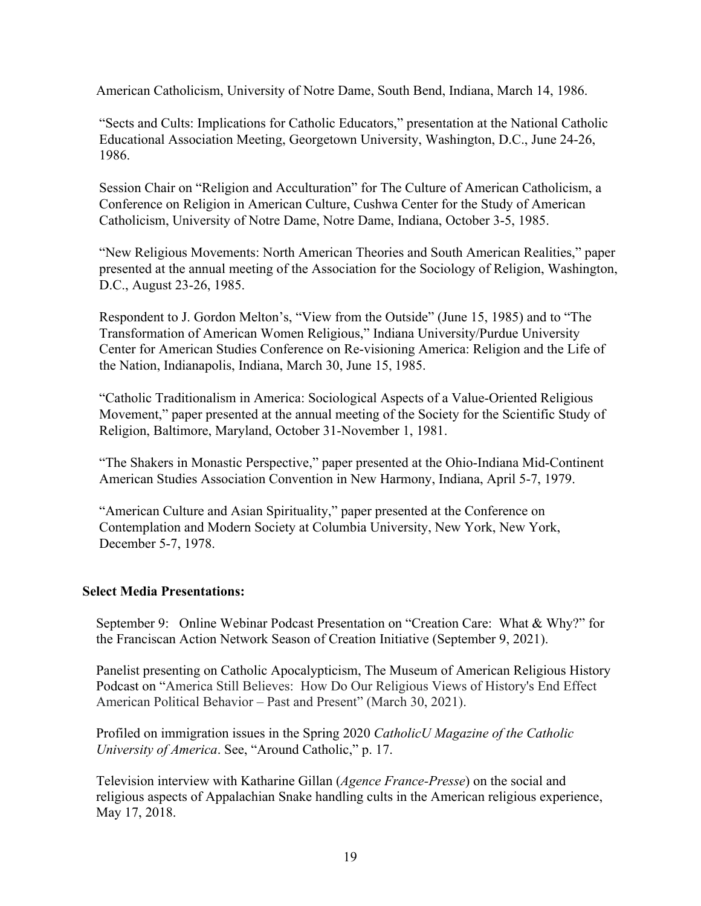American Catholicism, University of Notre Dame, South Bend, Indiana, March 14, 1986.

"Sects and Cults: Implications for Catholic Educators," presentation at the National Catholic Educational Association Meeting, Georgetown University, Washington, D.C., June 24-26, 1986.

Session Chair on "Religion and Acculturation" for The Culture of American Catholicism, a Conference on Religion in American Culture, Cushwa Center for the Study of American Catholicism, University of Notre Dame, Notre Dame, Indiana, October 3-5, 1985.

"New Religious Movements: North American Theories and South American Realities," paper presented at the annual meeting of the Association for the Sociology of Religion, Washington, D.C., August 23-26, 1985.

Respondent to J. Gordon Melton's, "View from the Outside" (June 15, 1985) and to "The Transformation of American Women Religious," Indiana University/Purdue University Center for American Studies Conference on Re-visioning America: Religion and the Life of the Nation, Indianapolis, Indiana, March 30, June 15, 1985.

"Catholic Traditionalism in America: Sociological Aspects of a Value-Oriented Religious Movement," paper presented at the annual meeting of the Society for the Scientific Study of Religion, Baltimore, Maryland, October 31-November 1, 1981.

"The Shakers in Monastic Perspective," paper presented at the Ohio-Indiana Mid-Continent American Studies Association Convention in New Harmony, Indiana, April 5-7, 1979.

"American Culture and Asian Spirituality," paper presented at the Conference on Contemplation and Modern Society at Columbia University, New York, New York, December 5-7, 1978.

# **Select Media Presentations:**

September 9: Online Webinar Podcast Presentation on "Creation Care: What & Why?" for the Franciscan Action Network Season of Creation Initiative (September 9, 2021).

Panelist presenting on Catholic Apocalypticism, The Museum of American Religious History Podcast on "America Still Believes: How Do Our Religious Views of History's End Effect American Political Behavior – Past and Present" (March 30, 2021).

 Profiled on immigration issues in the Spring 2020 *CatholicU Magazine of the Catholic University of America*. See, "Around Catholic," p. 17.

 Television interview with Katharine Gillan (*Agence France-Presse*) on the social and religious aspects of Appalachian Snake handling cults in the American religious experience, May 17, 2018.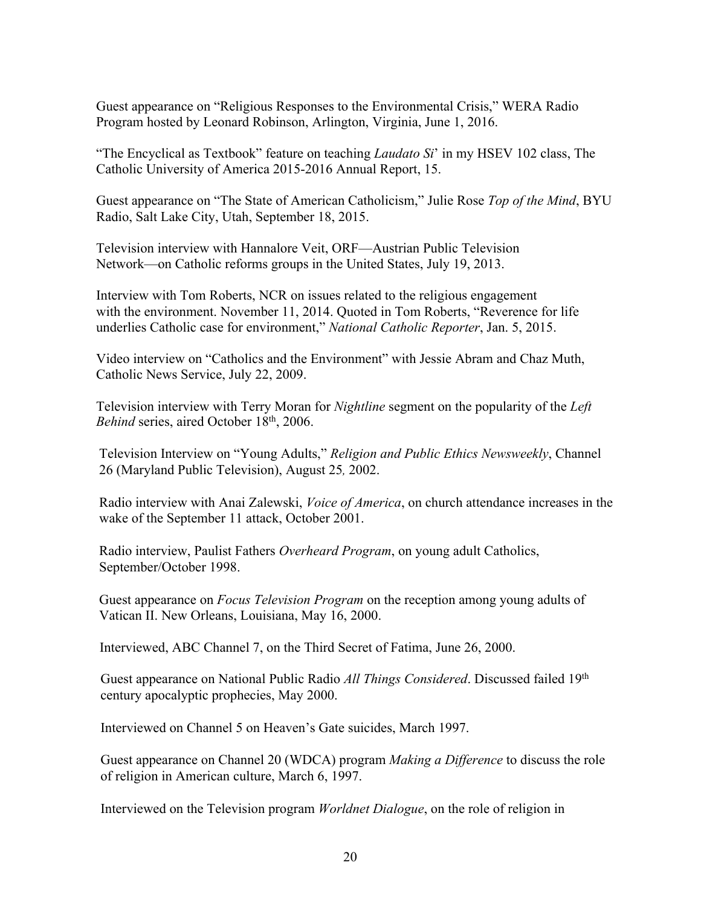Guest appearance on "Religious Responses to the Environmental Crisis," WERA Radio Program hosted by Leonard Robinson, Arlington, Virginia, June 1, 2016.

 "The Encyclical as Textbook" feature on teaching *Laudato Si*' in my HSEV 102 class, The Catholic University of America 2015-2016 Annual Report, 15.

 Guest appearance on "The State of American Catholicism," Julie Rose *Top of the Mind*, BYU Radio, Salt Lake City, Utah, September 18, 2015.

 Television interview with Hannalore Veit, ORF—Austrian Public Television Network—on Catholic reforms groups in the United States, July 19, 2013.

 Interview with Tom Roberts, NCR on issues related to the religious engagement with the environment. November 11, 2014. Quoted in Tom Roberts, "Reverence for life underlies Catholic case for environment," *National Catholic Reporter*, Jan. 5, 2015.

 Video interview on "Catholics and the Environment" with Jessie Abram and Chaz Muth, Catholic News Service, July 22, 2009.

Television interview with Terry Moran for *Nightline* segment on the popularity of the *Left Behind* series, aired October 18<sup>th</sup>, 2006.

Television Interview on "Young Adults," *Religion and Public Ethics Newsweekly*, Channel 26 (Maryland Public Television), August 25*,* 2002.

Radio interview with Anai Zalewski, *Voice of America*, on church attendance increases in the wake of the September 11 attack, October 2001.

Radio interview, Paulist Fathers *Overheard Program*, on young adult Catholics, September/October 1998.

Guest appearance on *Focus Television Program* on the reception among young adults of Vatican II. New Orleans, Louisiana, May 16, 2000.

Interviewed, ABC Channel 7, on the Third Secret of Fatima, June 26, 2000.

Guest appearance on National Public Radio *All Things Considered*. Discussed failed 19<sup>th</sup> century apocalyptic prophecies, May 2000.

Interviewed on Channel 5 on Heaven's Gate suicides, March 1997.

Guest appearance on Channel 20 (WDCA) program *Making a Difference* to discuss the role of religion in American culture, March 6, 1997.

Interviewed on the Television program *Worldnet Dialogue*, on the role of religion in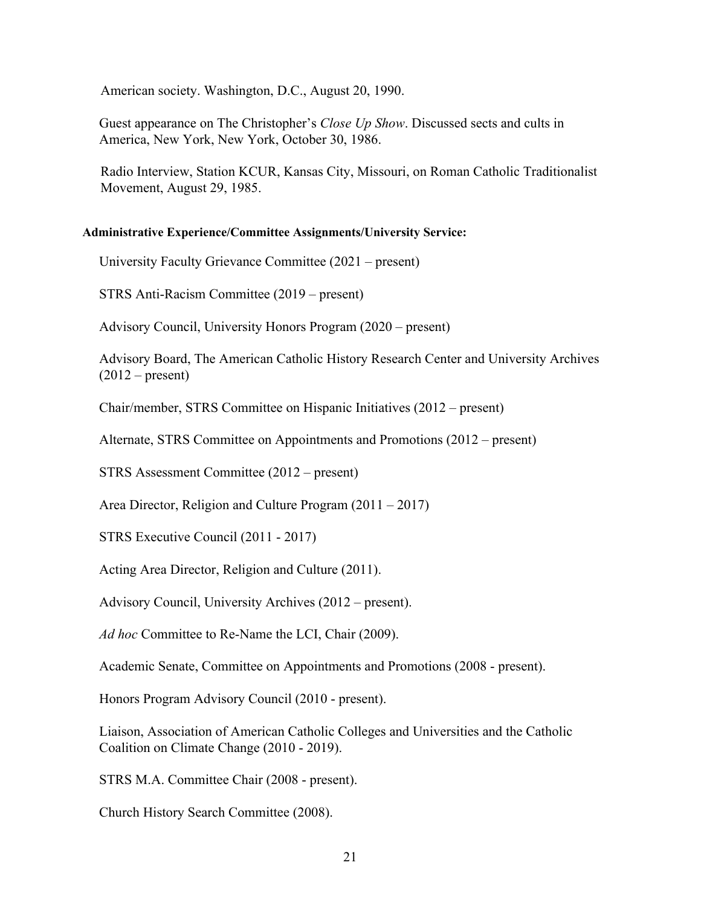American society. Washington, D.C., August 20, 1990.

Guest appearance on The Christopher's *Close Up Show*. Discussed sects and cults in America, New York, New York, October 30, 1986.

Radio Interview, Station KCUR, Kansas City, Missouri, on Roman Catholic Traditionalist Movement, August 29, 1985.

#### **Administrative Experience/Committee Assignments/University Service:**

University Faculty Grievance Committee (2021 – present)

STRS Anti-Racism Committee (2019 – present)

Advisory Council, University Honors Program (2020 – present)

Advisory Board, The American Catholic History Research Center and University Archives  $(2012 - present)$ 

Chair/member, STRS Committee on Hispanic Initiatives (2012 – present)

Alternate, STRS Committee on Appointments and Promotions (2012 – present)

STRS Assessment Committee (2012 – present)

Area Director, Religion and Culture Program (2011 – 2017)

STRS Executive Council (2011 - 2017)

Acting Area Director, Religion and Culture (2011).

Advisory Council, University Archives (2012 – present).

*Ad hoc* Committee to Re-Name the LCI, Chair (2009).

Academic Senate, Committee on Appointments and Promotions (2008 - present).

Honors Program Advisory Council (2010 - present).

Liaison, Association of American Catholic Colleges and Universities and the Catholic Coalition on Climate Change (2010 - 2019).

STRS M.A. Committee Chair (2008 - present).

Church History Search Committee (2008).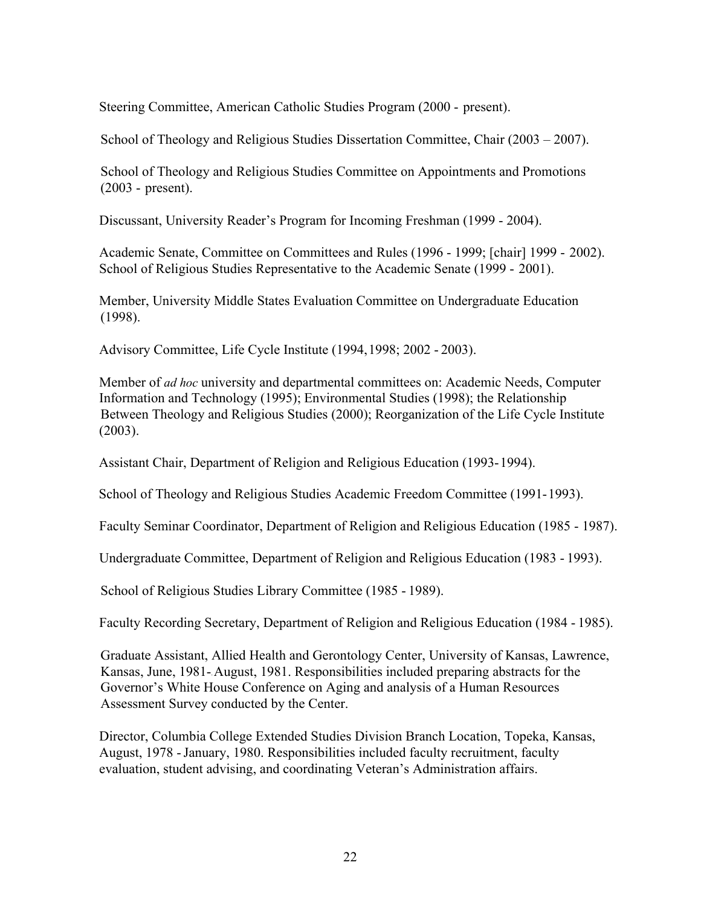Steering Committee, American Catholic Studies Program (2000 - present).

School of Theology and Religious Studies Dissertation Committee, Chair (2003 – 2007).

School of Theology and Religious Studies Committee on Appointments and Promotions (2003 - present).

Discussant, University Reader's Program for Incoming Freshman (1999 - 2004).

Academic Senate, Committee on Committees and Rules (1996 - 1999; [chair] 1999 - 2002). School of Religious Studies Representative to the Academic Senate (1999 - 2001).

Member, University Middle States Evaluation Committee on Undergraduate Education (1998).

Advisory Committee, Life Cycle Institute (1994,1998; 2002 - 2003).

Member of *ad hoc* university and departmental committees on: Academic Needs, Computer Information and Technology (1995); Environmental Studies (1998); the Relationship Between Theology and Religious Studies (2000); Reorganization of the Life Cycle Institute (2003).

Assistant Chair, Department of Religion and Religious Education (1993-1994).

School of Theology and Religious Studies Academic Freedom Committee (1991-1993).

Faculty Seminar Coordinator, Department of Religion and Religious Education (1985 - 1987).

Undergraduate Committee, Department of Religion and Religious Education (1983 - 1993).

School of Religious Studies Library Committee (1985 - 1989).

Faculty Recording Secretary, Department of Religion and Religious Education (1984 - 1985).

Graduate Assistant, Allied Health and Gerontology Center, University of Kansas, Lawrence, Kansas, June, 1981-August, 1981. Responsibilities included preparing abstracts for the Governor's White House Conference on Aging and analysis of a Human Resources Assessment Survey conducted by the Center.

Director, Columbia College Extended Studies Division Branch Location, Topeka, Kansas, August, 1978 -January, 1980. Responsibilities included faculty recruitment, faculty evaluation, student advising, and coordinating Veteran's Administration affairs.